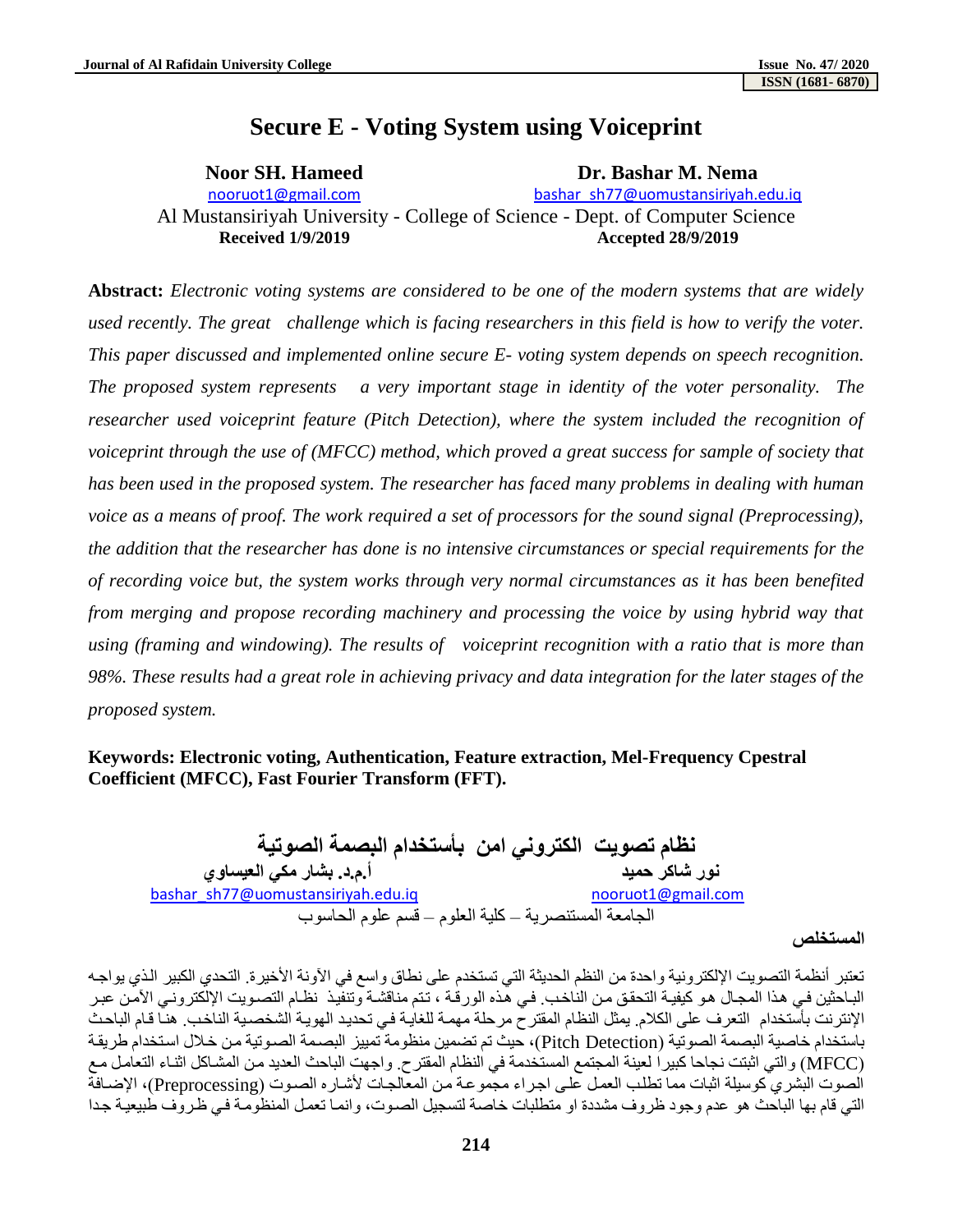# **Secure E - Voting System using Voiceprint**

# **Noor SH. Hameed Dr. Bashar M. Nema** nooruot1@gmail.com [bashar\\_sh77@uomustansiriyah.edu.iq](mailto:bashar_sh77@uomustansiriyah.edu.iq) Al Mustansiriyah University - College of Science - Dept. of Computer Science **Received 1/9/2019 Accepted 28/9/2019**

**Abstract:** *Electronic voting systems are considered to be one of the modern systems that are widely used recently. The great challenge which is facing researchers in this field is how to verify the voter. This paper discussed and implemented online secure E- voting system depends on speech recognition. The proposed system represents a very important stage in identity of the voter personality. The researcher used voiceprint feature (Pitch Detection), where the system included the recognition of voiceprint through the use of (MFCC) method, which proved a great success for sample of society that has been used in the proposed system. The researcher has faced many problems in dealing with human voice as a means of proof. The work required a set of processors for the sound signal (Preprocessing), the addition that the researcher has done is no intensive circumstances or special requirements for the of recording voice but, the system works through very normal circumstances as it has been benefited from merging and propose recording machinery and processing the voice by using hybrid way that using (framing and windowing). The results of voiceprint recognition with a ratio that is more than 98%. These results had a great role in achieving privacy and data integration for the later stages of the proposed system.* 

# **Keywords: Electronic voting, Authentication, Feature extraction, Mel-Frequency Cpestral Coefficient (MFCC), Fast Fourier Transform (FFT).**

**نظام تصويت الكتروني امن بأستخدام البصمة الصوتية نور شاكر حميد أ.م.د. بشار مكي العيساوي**  [bashar\\_sh77@uomustansiriyah.edu.iq](mailto:bashar_sh77@uomustansiriyah.edu.iq) [nooruot1@gmail.com](mailto:nooruot1@gmail.com) الجامعة المستنصرية – كلية العلوم – قسم علوم الحاسوب

#### **المستخلص**

تعتبر أنظمة التصويت الإلكترونية واحدة من النظم الحديثة التي تستخدم على نطاق واسع في الأونة الأخيرة. التحدي الكبير الذي يواجه الباحثين في هذا المجال هو كيفية التحقق من الناخب. في هذه الورقة ، تتم مناقشة وتنفيذ نظام التصويت الإلكتروني الآمن عبر الإنترنت بأستخدام التعرف على الكلام. يمثل النظام المقترح مرحلة مهمة للغايـة في تحديد الهويـة الشخصـية الناخب. هنـا قـام الباحث باستخدام خاصية البصمة الصوتية (Pitch Detection)، حيث تم تضمين منظومة تمييز البصمة الصوتية من خلال استخدام طريقة (MFCC ) والتي اثبتت نجاحا كبيراً لعينة المجتمع المستخدمة في النظام المقترح. واجهت الباحث العديد من المشـاكل اثنـاء التعامل مـع الصوت البشري كوسيلة اثبات مما تطلب العمل على اجراء مجموعة من المعالجات لأشاره الصوت (Preprocessing)، الإضافة التي قام بها الباحث هو عدم وجود ظروف مشددة او متطلبات خاصة لتسجيل الصدوت، وانمـا تعمل المنظومـة في ظروف طبيعيـة جدا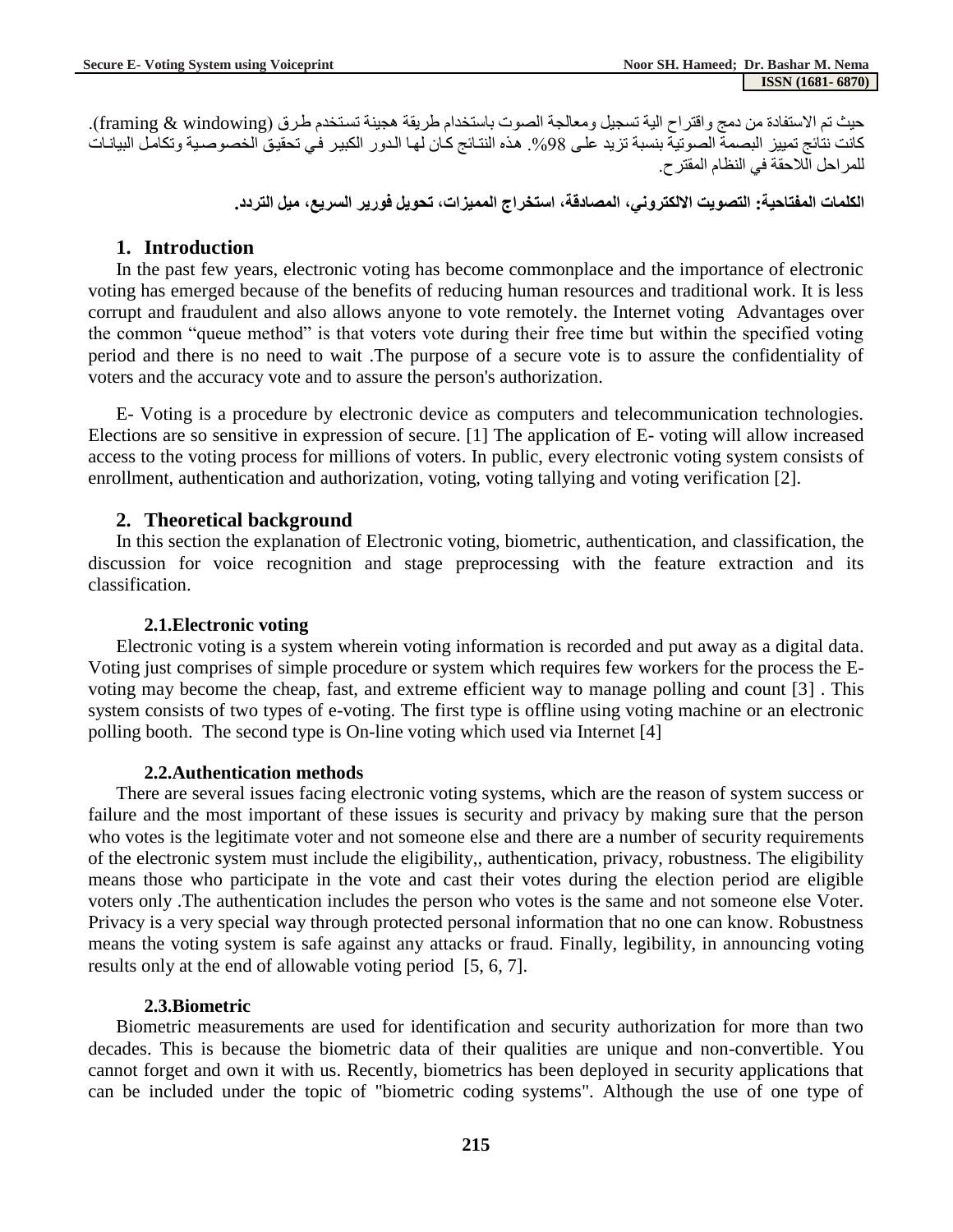حيث تم الاستفادة من دمج واقتراح الية تسجيل ومعالجة الصوت باستخدام طريقة هجينة تستخدم طرق (framing & windowing). كانت نتائج تمييز البصمة الصوتية بنسبة تزيد على 98%. هذه النتائج كان لها الدور الكبير في تحقيق الخصوصية وتكامل البيانات للمراحل اللاحقة في النظام المقترح.

#### **الكلمات المفتاحية: التصويت االلكتروني, المصادقة, استخراج المميزات, تحويل فورير السريع, ميل التردد.**

#### **1. Introduction**

In the past few years, electronic voting has become commonplace and the importance of electronic voting has emerged because of the benefits of reducing human resources and traditional work. It is less corrupt and fraudulent and also allows anyone to vote remotely. the Internet voting Advantages over the common "queue method" is that voters vote during their free time but within the specified voting period and there is no need to wait .The purpose of a secure vote is to assure the confidentiality of voters and the accuracy vote and to assure the person's authorization.

E- Voting is a procedure by electronic device as computers and telecommunication technologies. Elections are so sensitive in expression of secure. [1] The application of E- voting will allow increased access to the voting process for millions of voters. In public, every electronic voting system consists of enrollment, authentication and authorization, voting, voting tallying and voting verification [2].

#### **2. Theoretical background**

In this section the explanation of Electronic voting, biometric, authentication, and classification, the discussion for voice recognition and stage preprocessing with the feature extraction and its classification.

#### **2.1.Electronic voting**

Electronic voting is a system wherein voting information is recorded and put away as a digital data. Voting just comprises of simple procedure or system which requires few workers for the process the Evoting may become the cheap, fast, and extreme efficient way to manage polling and count [3] . This system consists of two types of e-voting. The first type is offline using voting machine or an electronic polling booth. The second type is On-line voting which used via Internet [4]

#### **2.2.Authentication methods**

There are several issues facing electronic voting systems, which are the reason of system success or failure and the most important of these issues is security and privacy by making sure that the person who votes is the legitimate voter and not someone else and there are a number of security requirements of the electronic system must include the eligibility,, authentication, privacy, robustness. The eligibility means those who participate in the vote and cast their votes during the election period are eligible voters only .The authentication includes the person who votes is the same and not someone else Voter. Privacy is a very special way through protected personal information that no one can know. Robustness means the voting system is safe against any attacks or fraud. Finally, legibility, in announcing voting results only at the end of allowable voting period [5, 6, 7].

#### **2.3.Biometric**

Biometric measurements are used for identification and security authorization for more than two decades. This is because the biometric data of their qualities are unique and non-convertible. You cannot forget and own it with us. Recently, biometrics has been deployed in security applications that can be included under the topic of "biometric coding systems". Although the use of one type of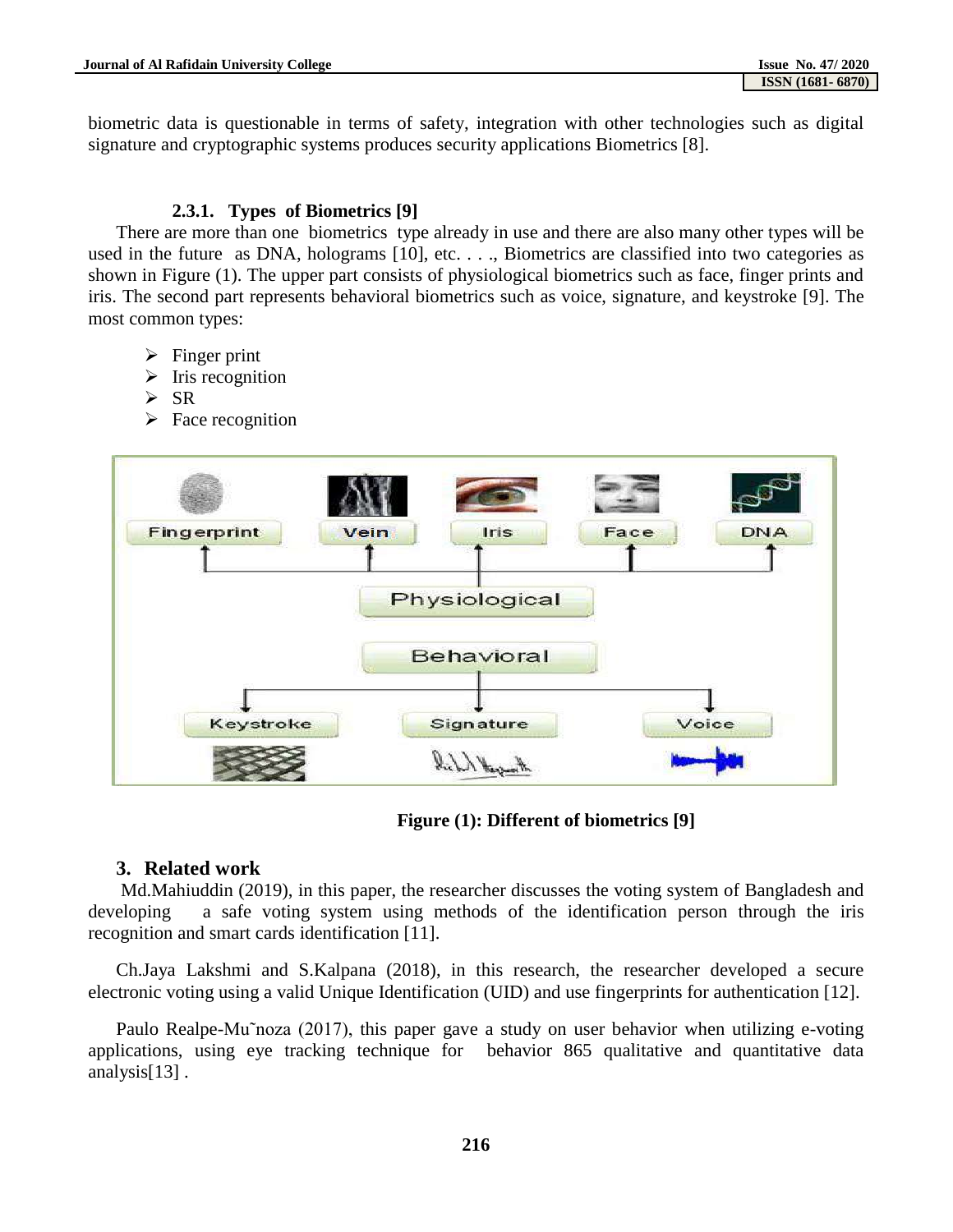biometric data is questionable in terms of safety, integration with other technologies such as digital signature and cryptographic systems produces security applications Biometrics [8].

#### **2.3.1. Types of Biometrics [9]**

There are more than one biometrics type already in use and there are also many other types will be used in the future as DNA, holograms [10], etc. . . ., Biometrics are classified into two categories as shown in Figure (1). The upper part consists of physiological biometrics such as face, finger prints and iris. The second part represents behavioral biometrics such as voice, signature, and keystroke [9]. The most common types:

- $\triangleright$  Finger print
- $\triangleright$  Iris recognition
- $\triangleright$  SR
- $\triangleright$  Face recognition



**Figure (1): Different of biometrics [9]**

#### **3. Related work**

Md.Mahiuddin (2019), in this paper, the researcher discusses the voting system of Bangladesh and developing a safe voting system using methods of the identification person through the iris recognition and smart cards identification [11].

Ch.Jaya Lakshmi and S.Kalpana (2018), in this research, the researcher developed a secure electronic voting using a valid Unique Identification (UID) and use fingerprints for authentication [12].

Paulo Realpe-Mu˜noza (2017), this paper gave a study on user behavior when utilizing e-voting applications, using eye tracking technique for behavior 865 qualitative and quantitative data analysis[13] .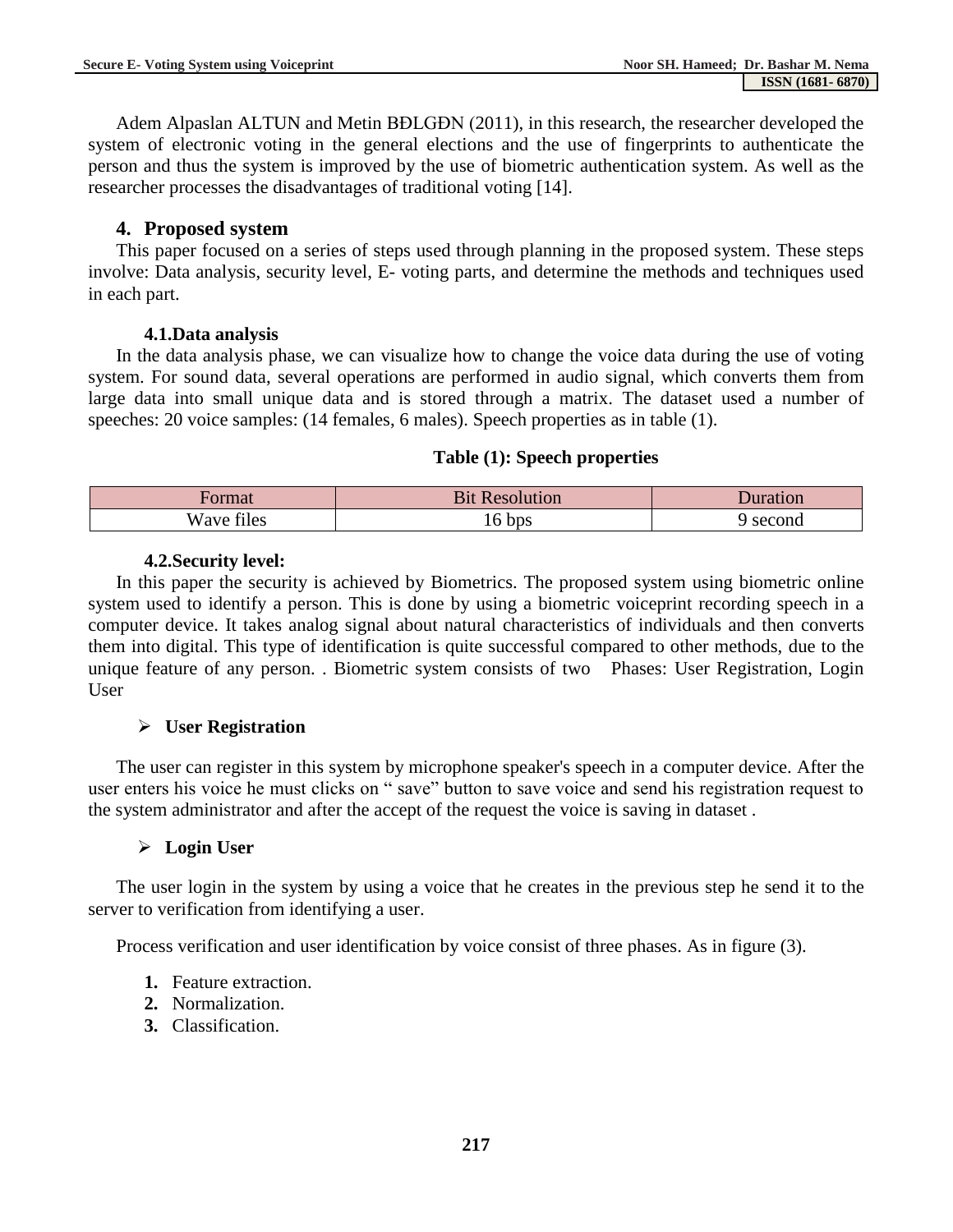Adem Alpaslan ALTUN and Metin BĐLGĐN (2011), in this research, the researcher developed the system of electronic voting in the general elections and the use of fingerprints to authenticate the person and thus the system is improved by the use of biometric authentication system. As well as the researcher processes the disadvantages of traditional voting [14].

# **4. Proposed system**

This paper focused on a series of steps used through planning in the proposed system. These steps involve: Data analysis, security level, E- voting parts, and determine the methods and techniques used in each part.

# **4.1.Data analysis**

In the data analysis phase, we can visualize how to change the voice data during the use of voting system. For sound data, several operations are performed in audio signal, which converts them from large data into small unique data and is stored through a matrix. The dataset used a number of speeches: 20 voice samples: (14 females, 6 males). Speech properties as in table (1).

# **Table (1): Speech properties**

| ormat                   | $\sim$ $\sim$ $\sim$<br>31t<br>lution<br>$\mathrm{reson}$ | Juration |
|-------------------------|-----------------------------------------------------------|----------|
| $\sim$<br>Wave<br>files | bps<br>⊥∪                                                 | ' second |

# **4.2.Security level:**

In this paper the security is achieved by Biometrics. The proposed system using biometric online system used to identify a person. This is done by using a biometric voiceprint recording speech in a computer device. It takes analog signal about natural characteristics of individuals and then converts them into digital. This type of identification is quite successful compared to other methods, due to the unique feature of any person. . Biometric system consists of two Phases: User Registration, Login User

# **User Registration**

The user can register in this system by microphone speaker's speech in a computer device. After the user enters his voice he must clicks on " save" button to save voice and send his registration request to the system administrator and after the accept of the request the voice is saving in dataset .

# **Login User**

The user login in the system by using a voice that he creates in the previous step he send it to the server to verification from identifying a user.

Process verification and user identification by voice consist of three phases. As in figure (3).

- **1.** Feature extraction.
- **2.** Normalization.
- **3.** Classification.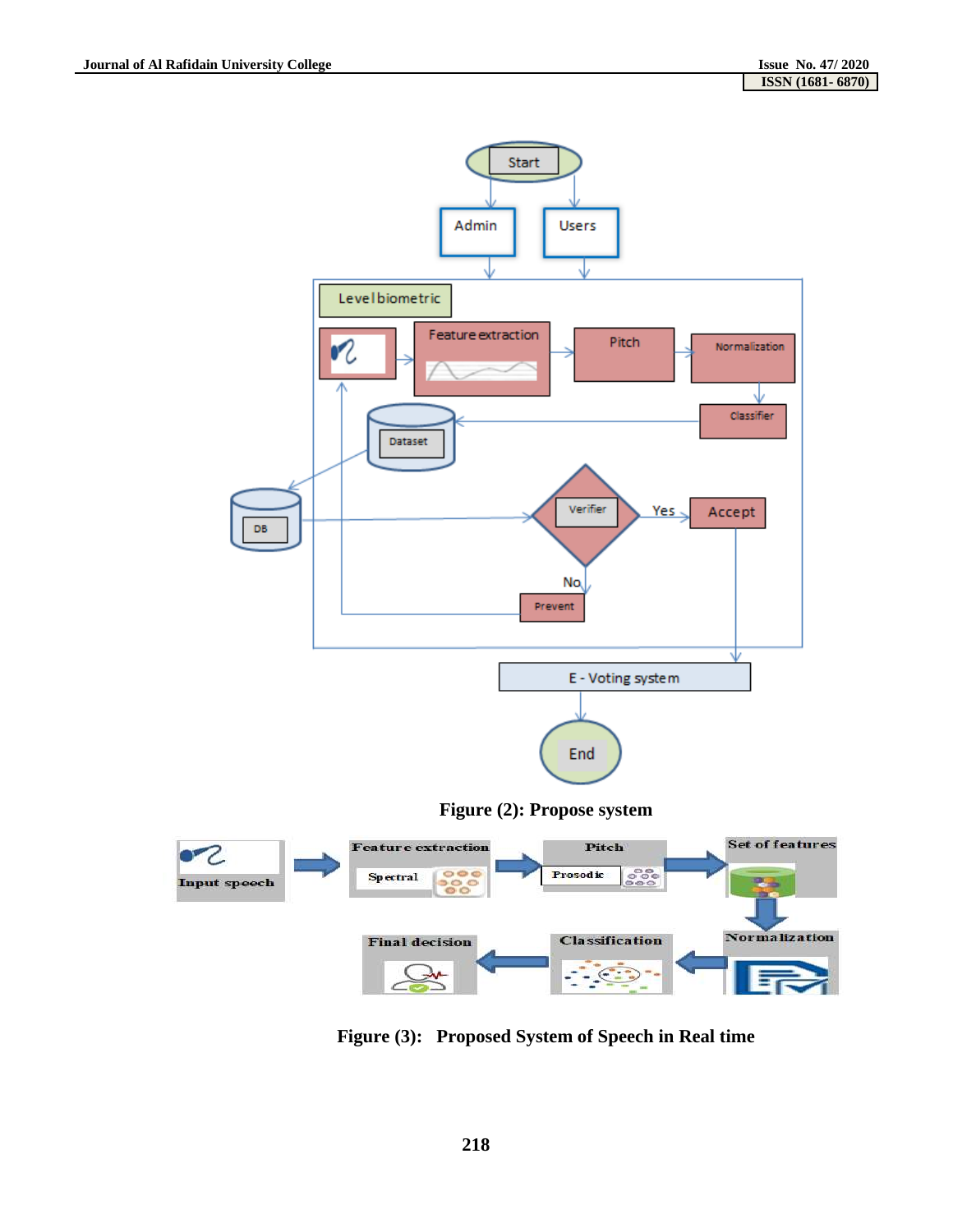

**Figure (3): Proposed System of Speech in Real time**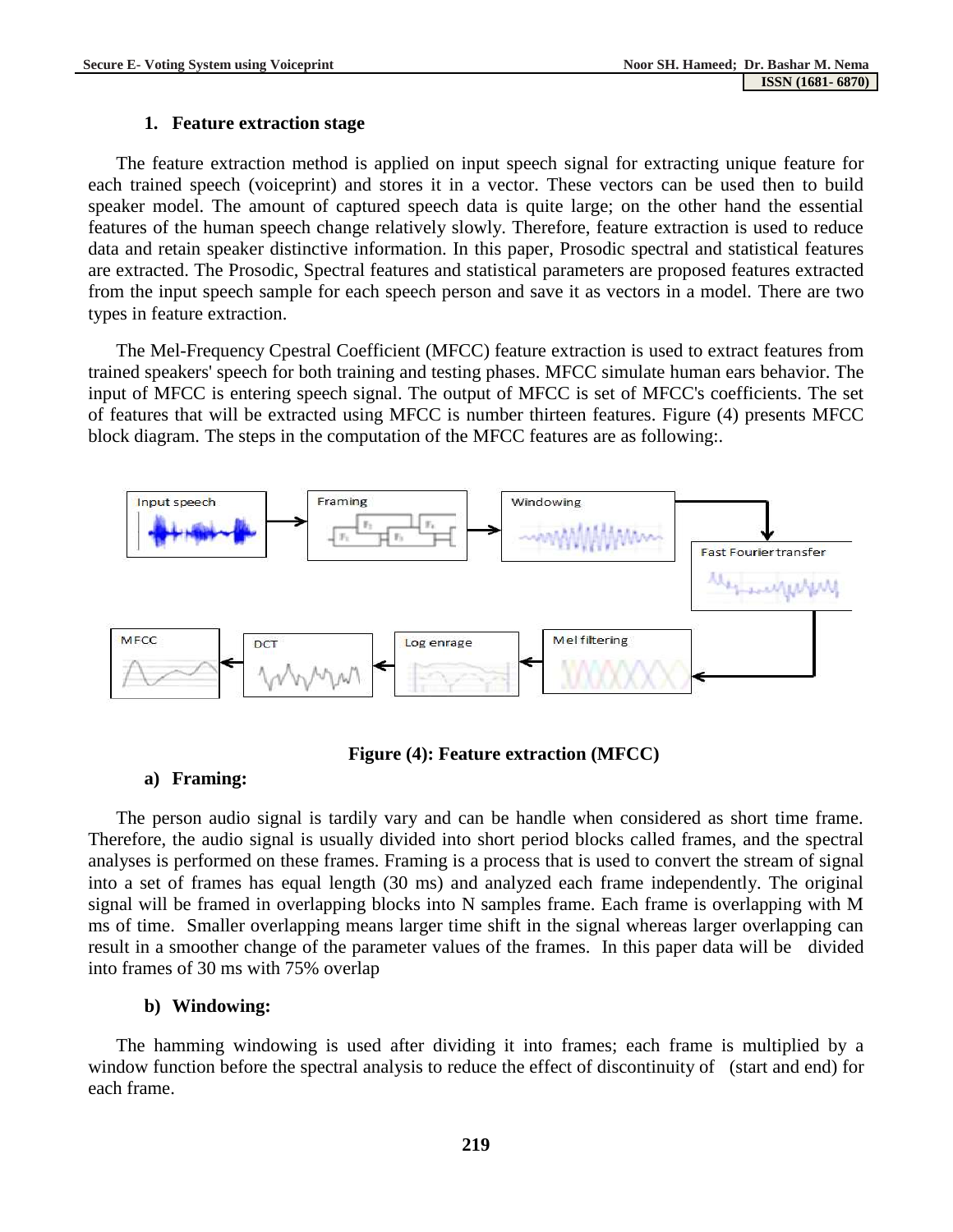#### **1. Feature extraction stage**

The feature extraction method is applied on input speech signal for extracting unique feature for each trained speech (voiceprint) and stores it in a vector. These vectors can be used then to build speaker model. The amount of captured speech data is quite large; on the other hand the essential features of the human speech change relatively slowly. Therefore, feature extraction is used to reduce data and retain speaker distinctive information. In this paper, Prosodic spectral and statistical features are extracted. The Prosodic, Spectral features and statistical parameters are proposed features extracted from the input speech sample for each speech person and save it as vectors in a model. There are two types in feature extraction.

The Mel-Frequency Cpestral Coefficient (MFCC) feature extraction is used to extract features from trained speakers' speech for both training and testing phases. MFCC simulate human ears behavior. The input of MFCC is entering speech signal. The output of MFCC is set of MFCC's coefficients. The set of features that will be extracted using MFCC is number thirteen features. Figure (4) presents MFCC block diagram. The steps in the computation of the MFCC features are as following:.



### **Figure (4): Feature extraction (MFCC)**

### **a) Framing:**

The person audio signal is tardily vary and can be handle when considered as short time frame. Therefore, the audio signal is usually divided into short period blocks called frames, and the spectral analyses is performed on these frames. Framing is a process that is used to convert the stream of signal into a set of frames has equal length (30 ms) and analyzed each frame independently. The original signal will be framed in overlapping blocks into N samples frame. Each frame is overlapping with M ms of time. Smaller overlapping means larger time shift in the signal whereas larger overlapping can result in a smoother change of the parameter values of the frames. In this paper data will be divided into frames of 30 ms with 75% overlap

### **b) Windowing:**

The hamming windowing is used after dividing it into frames; each frame is multiplied by a window function before the spectral analysis to reduce the effect of discontinuity of (start and end) for each frame.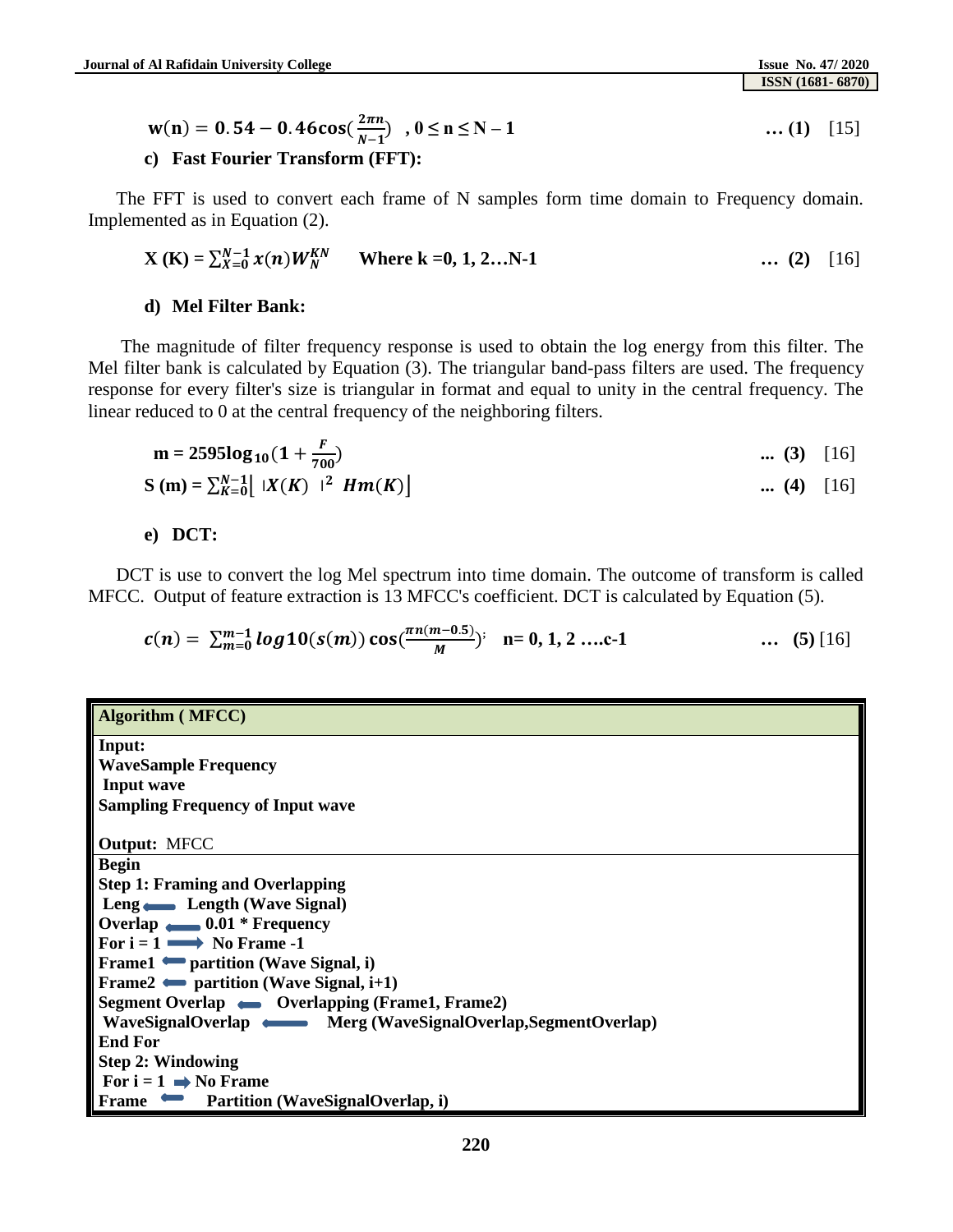$$
w(n) = 0.54 - 0.46 \cos(\frac{2\pi n}{N-1}), 0 \le n \le N-1
$$
 ... (1) [15]

#### **c) Fast Fourier Transform (FFT):**

The FFT is used to convert each frame of N samples form time domain to Frequency domain. Implemented as in Equation (2).

$$
\mathbf{X}(\mathbf{K}) = \sum_{X=0}^{N-1} x(n) W_N^{KN} \qquad \text{Where } \mathbf{k} = 0, 1, 2...N-1 \qquad \qquad \dots (2) \quad [16]
$$

#### **d) Mel Filter Bank:**

The magnitude of filter frequency response is used to obtain the log energy from this filter. The Mel filter bank is calculated by Equation (3). The triangular band-pass filters are used. The frequency response for every filter's size is triangular in format and equal to unity in the central frequency. The linear reduced to 0 at the central frequency of the neighboring filters.

$$
\mathbf{m} = 2595\log_{10}(1 + \frac{F}{700}) \quad \dots (3) \quad [16]
$$
  
\n
$$
\mathbf{S}(\mathbf{m}) = \sum_{K=0}^{N-1} |X(K)|^2 Hm(K)] \quad \dots (4) \quad [16]
$$

**e) DCT:** 

DCT is use to convert the log Mel spectrum into time domain. The outcome of transform is called MFCC. Output of feature extraction is 13 MFCC's coefficient. DCT is calculated by Equation (5).

$$
c(n) = \sum_{m=0}^{m-1} log 10(s(m)) cos(\frac{\pi n(m-0.5)}{M})^; \quad n = 0, 1, 2 \ldots c-1 \quad \ldots \quad (5) [16]
$$

| <b>Algorithm (MFCC)</b>                                    |  |  |  |  |  |  |  |
|------------------------------------------------------------|--|--|--|--|--|--|--|
| Input:                                                     |  |  |  |  |  |  |  |
| <b>WaveSample Frequency</b>                                |  |  |  |  |  |  |  |
| <b>Input wave</b>                                          |  |  |  |  |  |  |  |
| <b>Sampling Frequency of Input wave</b>                    |  |  |  |  |  |  |  |
|                                                            |  |  |  |  |  |  |  |
| <b>Output: MFCC</b>                                        |  |  |  |  |  |  |  |
| <b>Begin</b>                                               |  |  |  |  |  |  |  |
| <b>Step 1: Framing and Overlapping</b>                     |  |  |  |  |  |  |  |
| Leng — Length (Wave Signal)                                |  |  |  |  |  |  |  |
| Overlap $\bullet$ 0.01 * Frequency                         |  |  |  |  |  |  |  |
| For $i = 1 \longrightarrow$ No Frame -1                    |  |  |  |  |  |  |  |
| <b>Frame1</b> • partition (Wave Signal, i)                 |  |  |  |  |  |  |  |
| Frame $2 \rightarrow$ partition (Wave Signal, i+1)         |  |  |  |  |  |  |  |
| Segment Overlap • Overlapping (Frame1, Frame2)             |  |  |  |  |  |  |  |
| WaveSignalOverlap Merg (WaveSignalOverlap, SegmentOverlap) |  |  |  |  |  |  |  |
| <b>End For</b>                                             |  |  |  |  |  |  |  |
| <b>Step 2: Windowing</b>                                   |  |  |  |  |  |  |  |
| For $i = 1 \implies$ No Frame                              |  |  |  |  |  |  |  |
| Partition (WaveSignalOverlap, i)<br><b>Frame</b>           |  |  |  |  |  |  |  |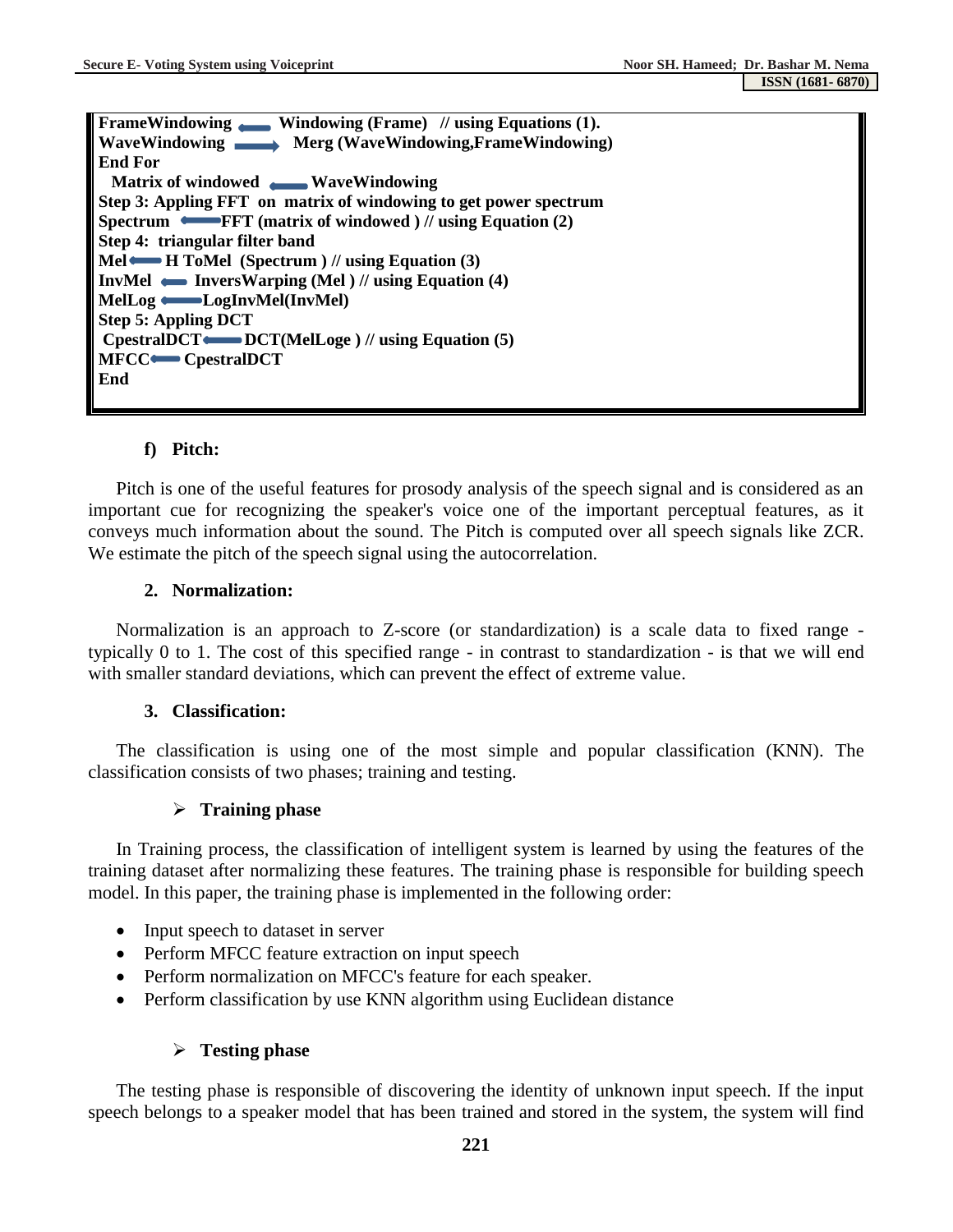| FrameWindowing Windowing (Frame) // using Equations (1).            |
|---------------------------------------------------------------------|
| WaveWindowing Merg (WaveWindowing,FrameWindowing)                   |
| <b>End For</b>                                                      |
| Matrix of windowed WaveWindowing                                    |
| Step 3: Appling FFT on matrix of windowing to get power spectrum    |
|                                                                     |
| Step 4: triangular filter band                                      |
| Mel $\blacktriangleright$ H ToMel (Spectrum ) // using Equation (3) |
| InvMel $\longleftarrow$ InversWarping (Mel ) // using Equation (4)  |
| MelLog CogInvMel(InvMel)                                            |
| <b>Step 5: Appling DCT</b>                                          |
| $C$ pestral DCT $\longleftarrow$ DCT(MelLoge) // using Equation (5) |
| <b>MFCC</b> CpestralDCT                                             |
| End                                                                 |
|                                                                     |

### **f) Pitch:**

Pitch is one of the useful features for prosody analysis of the speech signal and is considered as an important cue for recognizing the speaker's voice one of the important perceptual features, as it conveys much information about the sound. The Pitch is computed over all speech signals like ZCR. We estimate the pitch of the speech signal using the autocorrelation.

### **2. Normalization:**

Normalization is an approach to Z-score (or standardization) is a scale data to fixed range typically 0 to 1. The cost of this specified range - in contrast to standardization - is that we will end with smaller standard deviations, which can prevent the effect of extreme value.

### **3. Classification:**

The classification is using one of the most simple and popular classification (KNN). The classification consists of two phases; training and testing.

### **Training phase**

In Training process, the classification of intelligent system is learned by using the features of the training dataset after normalizing these features. The training phase is responsible for building speech model. In this paper, the training phase is implemented in the following order:

- Input speech to dataset in server
- Perform MFCC feature extraction on input speech
- Perform normalization on MFCC's feature for each speaker.
- Perform classification by use KNN algorithm using Euclidean distance

### **Testing phase**

The testing phase is responsible of discovering the identity of unknown input speech. If the input speech belongs to a speaker model that has been trained and stored in the system, the system will find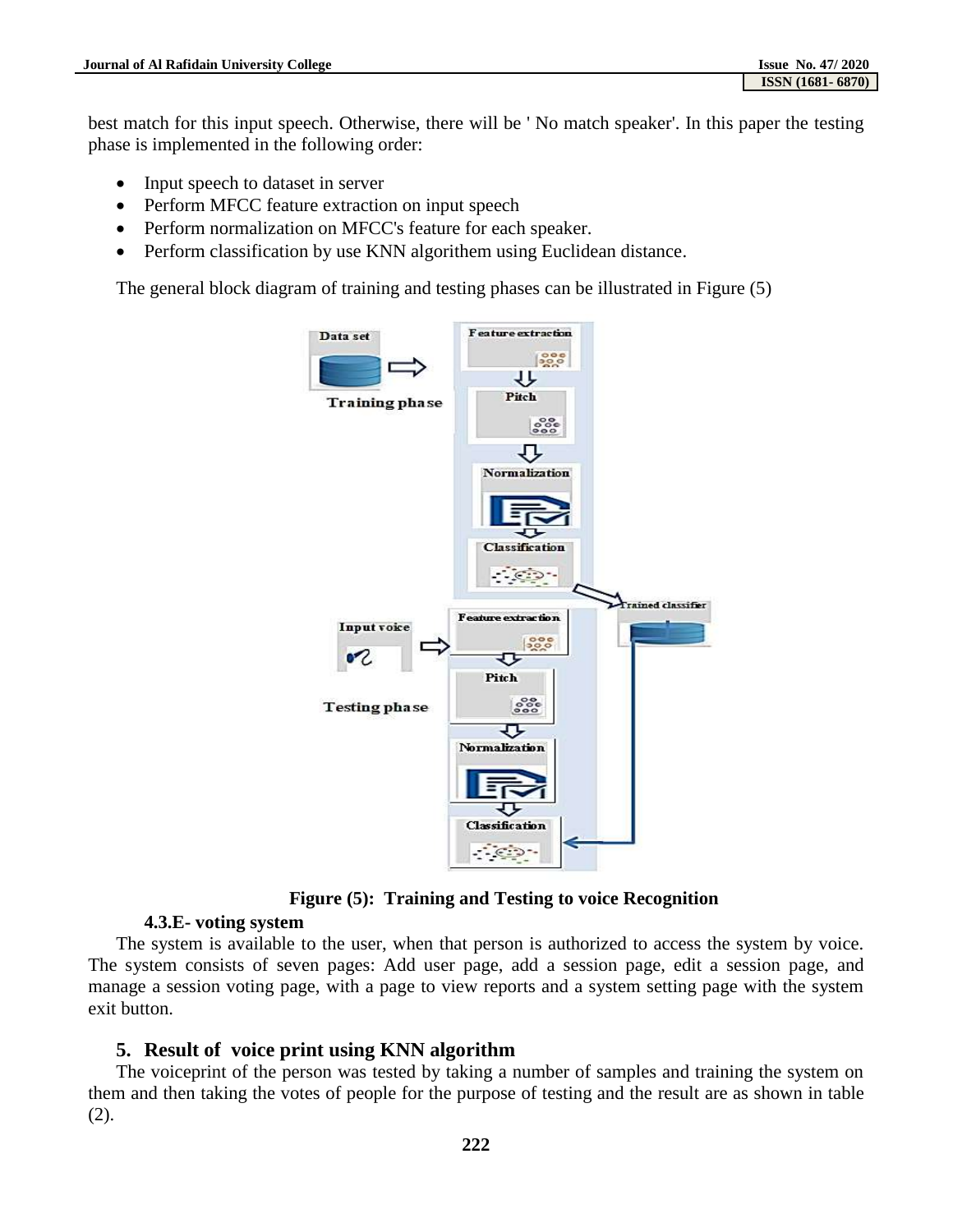best match for this input speech. Otherwise, there will be ' No match speaker'. In this paper the testing phase is implemented in the following order:

- Input speech to dataset in server
- Perform MFCC feature extraction on input speech
- Perform normalization on MFCC's feature for each speaker.
- Perform classification by use KNN algorithem using Euclidean distance.

The general block diagram of training and testing phases can be illustrated in Figure (5)



**Figure (5): Training and Testing to voice Recognition**

### **4.3.E- voting system**

The system is available to the user, when that person is authorized to access the system by voice. The system consists of seven pages: Add user page, add a session page, edit a session page, and manage a session voting page, with a page to view reports and a system setting page with the system exit button.

### **5. Result of voice print using KNN algorithm**

The voiceprint of the person was tested by taking a number of samples and training the system on them and then taking the votes of people for the purpose of testing and the result are as shown in table (2).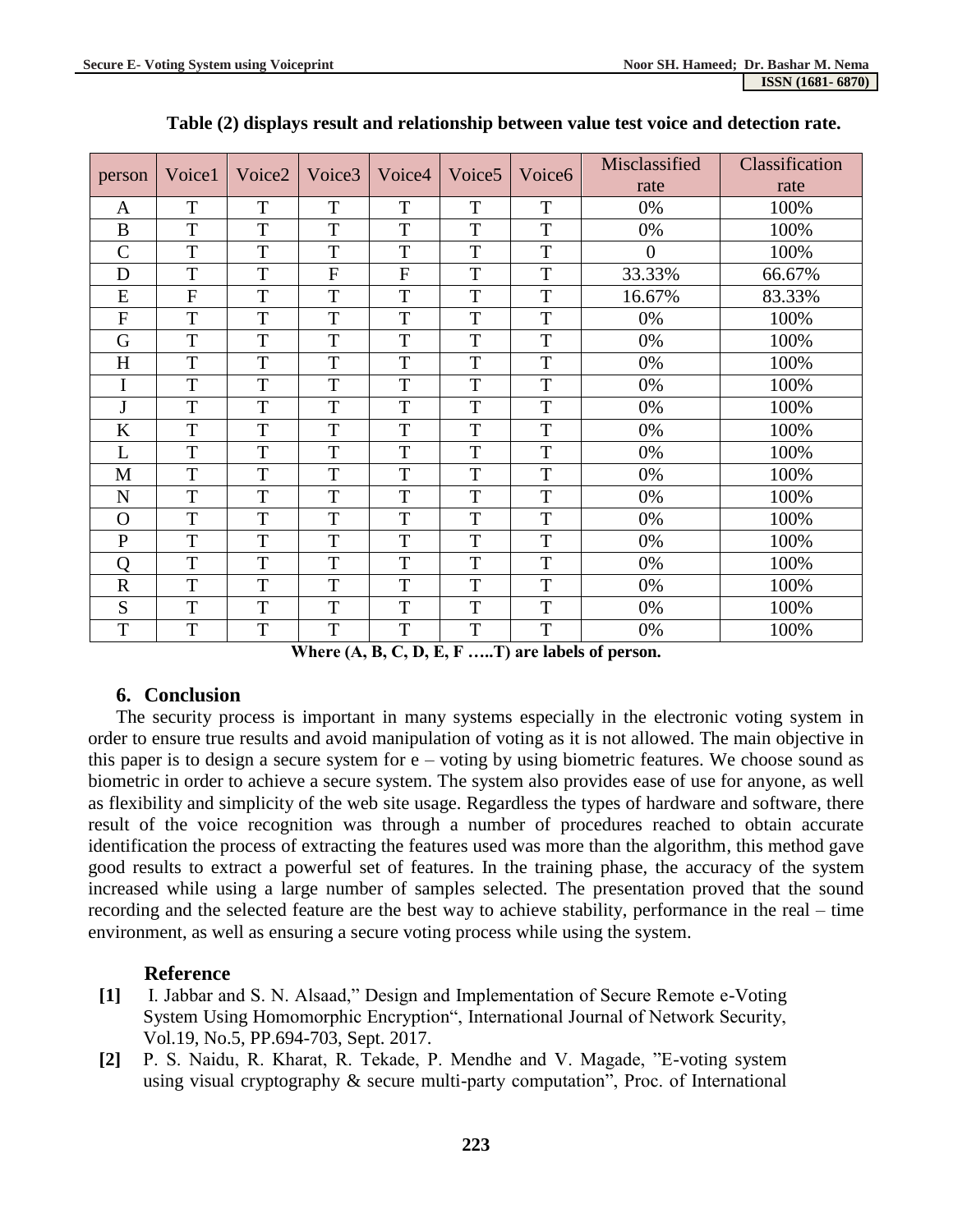| person         | Voice1         | Voice2 | Voice3         | Voice4         | Voice <sub>5</sub> | Voice <sub>6</sub> | Misclassified  | Classification |
|----------------|----------------|--------|----------------|----------------|--------------------|--------------------|----------------|----------------|
|                |                |        |                |                |                    |                    | rate           | rate           |
| A              | T              | T      | T              | T              | T                  | T                  | 0%             | 100%           |
| B              | T              | T      | T              | T              | T                  | T                  | 0%             | 100%           |
| $\overline{C}$ | T              | T      | T              | T              | T                  | T                  | $\overline{0}$ | 100%           |
| D              | $\mathbf T$    | T      | $\overline{F}$ | $\overline{F}$ | T                  | T                  | 33.33%         | 66.67%         |
| E              | $\overline{F}$ | T      | T              | T              | T                  | T                  | 16.67%         | 83.33%         |
| $\mathbf{F}$   | T              | T      | T              | T              | T                  | T                  | 0%             | 100%           |
| G              | T              | T      | T              | T              | T                  | T                  | 0%             | 100%           |
| H              | T              | T      | T              | T              | T                  | T                  | 0%             | 100%           |
| I              | T              | T      | T              | T              | T                  | T                  | 0%             | 100%           |
| J              | T              | T      | T              | T              | T                  | T                  | 0%             | 100%           |
| $\bf K$        | T              | T      | T              | T              | T                  | T                  | 0%             | 100%           |
| L              | T              | T      | T              | T              | T                  | T                  | 0%             | 100%           |
| M              | T              | T      | T              | T              | T                  | T                  | 0%             | 100%           |
| N              | T              | T      | T              | T              | T                  | T                  | 0%             | 100%           |
| $\Omega$       | T              | T      | T              | T              | T                  | T                  | 0%             | 100%           |
| $\mathbf{P}$   | T              | T      | T              | T              | T                  | T                  | 0%             | 100%           |
| $\overline{Q}$ | T              | T      | T              | T              | T                  | T                  | 0%             | 100%           |
| $\overline{R}$ | T              | T      | T              | T              | T                  | T                  | 0%             | 100%           |
| S              | T              | T      | T              | T              | T                  | T                  | 0%             | 100%           |
| T              | T              | T      | T              | T              | T                  | T                  | 0%             | 100%           |

**Table (2) displays result and relationship between value test voice and detection rate.** 

**Where (A, B, C, D, E, F …..T) are labels of person.**

# **6. Conclusion**

The security process is important in many systems especially in the electronic voting system in order to ensure true results and avoid manipulation of voting as it is not allowed. The main objective in this paper is to design a secure system for e – voting by using biometric features. We choose sound as biometric in order to achieve a secure system. The system also provides ease of use for anyone, as well as flexibility and simplicity of the web site usage. Regardless the types of hardware and software, there result of the voice recognition was through a number of procedures reached to obtain accurate identification the process of extracting the features used was more than the algorithm, this method gave good results to extract a powerful set of features. In the training phase, the accuracy of the system increased while using a large number of samples selected. The presentation proved that the sound recording and the selected feature are the best way to achieve stability, performance in the real – time environment, as well as ensuring a secure voting process while using the system.

# **Reference**

- **[1]** I. Jabbar and S. N. Alsaad," Design and Implementation of Secure Remote e-Voting System Using Homomorphic Encryption", International Journal of Network Security, Vol.19, No.5, PP.694-703, Sept. 2017.
- **[2]** P. S. Naidu, R. Kharat, R. Tekade, P. Mendhe and V. Magade, "E-voting system using visual cryptography & secure multi-party computation", Proc. of International